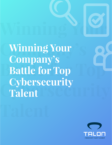**Company's Little Strategy Battle for Top Contracts Cybersecurity**<br> **Cybersecurity Winning Your Company's Battle for Top Cybersecurity Talent**

**Winning Your** 

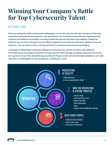## **Winning Your Company's Battle for Top Cybersecurity Talent**

### BY CHANCE HOAG

**If you are reading this article, you know how challenging it is to recruit Cyber Security talent during one of the most competitive landscapes for any profession in the past 30 years. You're in good company. But your organization and customers are looking to you to build a recruiting machine that attracts and retains top candidates. Despite the obstacles, you can achieve this goal if you are willing to implement some ideas that will require signifcant time and resources — but not nearly as much as missing a great hire or having a key person leave your Program.** 

**I read plenty of White Papers and Research Reports on Cyber Security, and this one will be a little different. Overwhelming you with graphs and statistics on Cyber Security talent shortages, spending, and breach scare tactics isn't a good use of your time. But positioning your Security Program to win and retain the right candidates is. Let's take a top-down, or philosophical-to-tactical approach, to building your team.** 

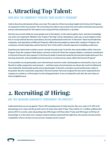# **1. Attracting Top Talent:**

### HOW DOES THE COMMUNITY PERCEIVE YOUR SECURITY PROGRAM?

**I talk to Security professionals all day, every day. The majority of them have deep insight into the Security Programs of companies in their local market. The current Security tribe is more insular than most other professions because the primary educational path for the industry was trying stuff that could lead to a rap sheet.** 

**Security was an early hobby for many people now in the industry, so the need to gather, learn, and share knowledge was and is very important. Whether it be "Capture The Flag" events, Hackathons, meet-ups, or local chapters of the fve or six top national Security associations, Security professionals tend to be "in the know" about local leadership, companies, and reputations of different Programs. What Security people say about their company's Program, the consistency of their leadership, and the internal "feel" of the staff is critically important to building a solid team.** 

**Good Security talent looks to build a career, not hop from job to job. To do this, they need stability within a Security Program. Does the company's Board place a priority on Security? Does the company display a consistent commitment to the level of Security they espouse? Is the Security leader trusted and valued by the executive leadership team? Are learning, teamwork, and teachability just buzzwords or are they proven values within the Security Program?** 

**To successfully recruit good people, your internal house must be in order. Good people are attracted to, stay in, and fourish in stable, progressive environments — and these types of environments are always the result of unifed and clear leadership. Good people quickly attract good people. In Security, word gets around and becomes reality to the greater Security community, especially in the local market. How your program fts into and is respected by the company as a whole is a critical aspect to attracting good talent. If you are doing this well, then the next steps are fairly straightforward.** 

## **2. Recruiting & Hiring:**

### ARE YOU ENGAGING CANDIDATES THROUGHOUT THE PROCESS?

**Understand what you are up against. There is 0% unemployment in Cybersecurity. Zip, zero, nada. In IT, 10% of all job postings are in cyber and the growth rate is 2x faster than other IT jobs. There will be 1.5–2 million unflled cyber jobs by 2019. Currently, cyber job postings take 24% longer to fll than other IT jobs and 35% longer to fll than all job postings. In a time when your company needs to balance speed with the right hires, the market is brutal and the competition is ferce. So how can you set your company up for success?**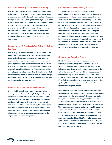#### *Involve Your Security Department in Recruiting*

**First, your Security Department should be more involved in hiring than other departments in your company. Recruiting an accountant is a walk in the park compared to what you are trying to accomplish. Security positions are highly specialized, somewhat new, and oftentimes exceed the network and time restraints of internal HR/Talent. Plus, Security Programs are notoriously tribal. You know your culture, so you are responsible for fnding the right personality and skillset. It's important for you to have done the research on your competitive landscape, salaries, and what you can get for your money.**

#### *Promote Your Job Openings Where Talent is Likely to See Them*

**In recruiting, visuals are important and you should take the time to ask for extra love from Talent and HR. Oftentimes, there is a battle going on inside your company between departments for recruiting resources and you can make a great argument that your department needs focus. Ask for special recruiting sections on your company's website, and especially on LinkedIn. Google and Facebook have nothing on the target marketing you can do on LinkedIn for targeted articles and sponsored job recs. Use them to your advantage. Also, Google Adword buys can be a focused and inexpensive method to owning keyword searches.**

#### *Invest Time in Perfecting the Job Description*

**One of the biggest mistakes I see from companies is in defning the role. This sounds simple, but you will get a leg up over the competition by directing your team to spend a little more time in this area. Do this right and competent candidates will immediately know that you get it. A job description should read more like a story than a checklist of demands. Remember: THIS. IS. A. BUYERS. MARKET. You have to sell! Don't lose a great candidate in the reading of a job description just because you copied and pasted the requirements from your competitor.** 

#### *Cast a Wide Net and Be Willing to Teach*

**As a Security department, you know that the top qualifcations you're seeking are passion and an innovative mindset, so try not to constrain the role too much with an exhaustive laundry list of certifcations and pie-in-the-sky experience expectations (like a demand for a young Analyst carrying a CISSP, or a Senior Security Engineer with patching responsibility). If you do this well, you might interview a candidate that's not right for the immediate posting but would be a great ft elsewhere. Or you might interview a candidate that is almost there but not quite. Maybe the team loves him/her and agrees that the added knowledge wouldn't be hard to teach. You don't want to waste your team's time with a cattle call but, in Security, you want to be in the position of turning a close-to-great candidate into exactly what you need.**

#### *Optimize Your Interview Process*

**Next is the interview process, which done right can continue to push your Security Program forward in the minds of Security candidates. Seventy-seven percent of candidates believe the interview process is important and speaks to the values of a company. You can use this to your advantage. First, to win in Security, you must interview with speed. This is tough because you must carve out valuable staff time weekly. If you fnd a good candidate or two but it takes a week to line up the right interviewers, you are dead. A well-defned and speedy interview process wins!**

**Most company interviews lack structure and metrics. They are too loose and personality-driven, making it diffcult for the team to score and the candidate to feel like the right topics were given appropriate time. Yes, you need time to assess a candidate's personality and vibe with the team, but that's pointless if the candidate doesn't have the chops to do the job. The best assessments are provided when a candidate pool for a job meets with the same person or team and is asked the same questions. Also, it's important that a candidate's frst touch is with a positive "yes" person. The guy most likely to make a colleague feel like an idiot for opening a dangerous spam email should not conduct the frst interview! The goal is to ratchet up the expectations in an interview process, not nuke your candidate base early.**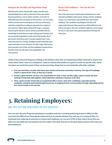#### *Navigate the Job Offer and Negotiation Stage*

**With Security talent, the job offer stage is usually more freewheeling than in other professions. Payscales within Security positions, even in similar markets, are harder to defne because they are based on three factors: current salary (which can have more moving parts in the way of bonuses), what the competition is willing to pay, and your company's pay structure. When approaching offer stage, a company must be quick, decisive, and as armed as possible with the knowledge of what that can make a deal go bad. I believe that any successful negotiation results when both parties don't get exactly what they want. It sounds negative but, if your interview process is strong, candidates understand that there is give and take in every situation. At offer stage, both parties have invested a lot of time, and the candidate has placed him/ herself in that role. Be open to the negotiation and close quickly.** 

#### *Respect All Candidates — Not Just the One You Choose*

**One of the best ways to build a good reputation is to treat rejected candidates with respect. Always call the candidate to give a no, thank them, and provide clear and truthful feedback. The candidate may disagree, but they will appreciate it because that experience will be different and will set you apart. Plus, the candidate might be a prime target for you in a few years and a good experience will keep the door open.** 

**I believe that a Security Program is hitting on all cylinders when they are employing multiple methods to acquire and retain talent. Since I own a recruiting frm, I want to mention the benefts of a good recruiter for specifc roles. Good recruiters are worth the money if they can do several key things that are not attainable with other methods.** 

- **1. First, you must fnd a recruiter that knows your market and focuses exclusively in Security. This type of knowledge results in speed of hire. Time, as they say, is money.**
- **2. Second, a good recruiter can save a ton of grief when it's time to close. At offer stage, a good recruiter has been working to bring both sides together, which eliminates unwelcome surprises at the altar.**
- **3. Third, a good recruiter knows that an accepted job offer is never a done deal. Candidates, especially Security candidates, should be hand-held through the process of resigning his/her current position through onboarding and the frst critical months at the new job.**

## **3. Retaining Employees:**

### ARE YOU SETTING NEW HIRES UP FOR SUCCESS?

**Let's say your Security Program's perception is excellent and your recruiting and hiring process is effective. Did you know that 80% of new hires decide within the frst six months whether they will stay at a company? Plus, it's estimated that replacing an executive or serious tech employee can run up to 215% of their salary. Know that you didn't win the battle the morning that new hire walks in the door. Execute on the ideas below and you will retain your best employees.**